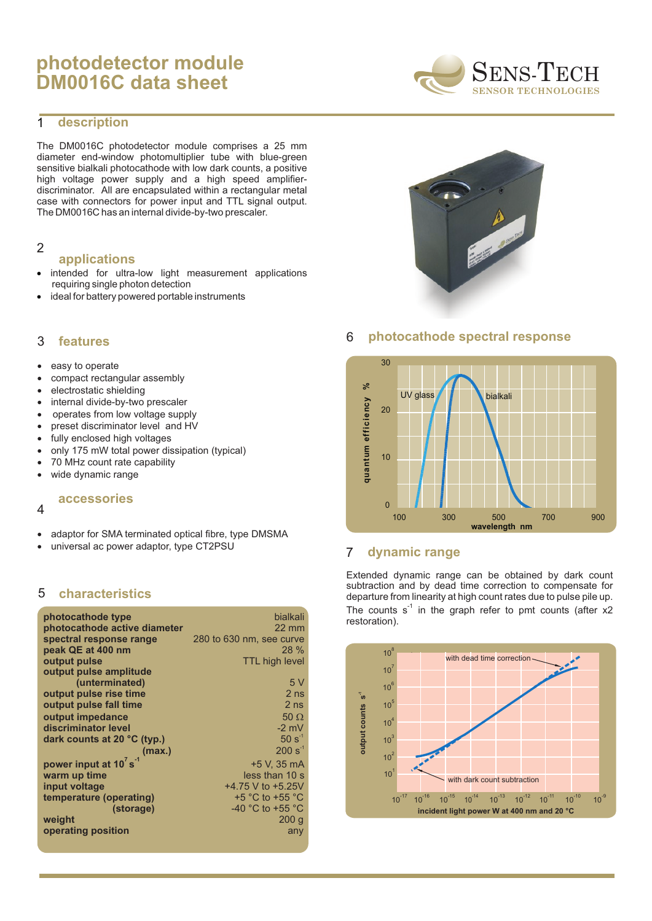# **photodetector module DM0016C data sheet**



#### **description** 1

The DM0016C photodetector module comprises a 25 mm diameter end-window photomultiplier tube with blue-green sensitive bialkali photocathode with low dark counts, a positive high voltage power supply and a high speed amplifierdiscriminator. All are encapsulated within a rectangular metal case with connectors for power input and TTL signal output. The DM0016C has an internal divide-by-two prescaler.

### 2

### **applications**

intended for ultra-low light measurement applications requiring single photon detection ideal for battery powered portable instruments

#### **features** 3

easy to operate compact rectangular assembly electrostatic shielding internal divide-by-two prescaler operates from low voltage supply preset discriminator level and HV fully enclosed high voltages only 175 mW total power dissipation (typical) 70 MHz count rate capability wide dynamic range

# **accessories**

### 4

adaptor for SMA terminated optical fibre, type DMSMA universal ac power adaptor, type CT2PSU

#### 5 **characteristics**

| photocathode type                      | <b>bialkali</b>          |
|----------------------------------------|--------------------------|
| photocathode active diameter           | $22 \text{ mm}$          |
| spectral response range                | 280 to 630 nm, see curve |
| peak QE at 400 nm                      | $28\%$                   |
| output pulse                           | <b>TTL high level</b>    |
| output pulse amplitude                 |                          |
| (unterminated)                         | 5V                       |
| output pulse rise time                 | 2 <sub>ns</sub>          |
| output pulse fall time                 | 2 <sub>ns</sub>          |
| output impedance                       | 50                       |
| discriminator level                    | $-2$ mV                  |
| dark counts at 20 °C (typ.)            | $50 s^{-1}$              |
| (max.)                                 | $200 s^{-1}$             |
| power input at 10 $^7$ s <sup>-1</sup> | +5 V. 35 mA              |
| warm up time                           | less than 10 s           |
| input voltage                          | +4.75 V to +5.25V        |
| temperature (operating)                | $+5$ °C to $+55$ °C      |
| (storage)                              | -40 °C to +55 °C         |
| weight                                 | 200 g                    |
| operating position                     | any                      |
|                                        |                          |



# 6 **photocathode spectral response**



# 7 **dynamic range**

Extended dynamic range can be obtained by dark count subtraction and by dead time correction to compensate for departure from linearity at high count rates due to pulse pile up. The counts  $s<sup>-1</sup>$  in the graph refer to pmt counts (after x2 restoration).